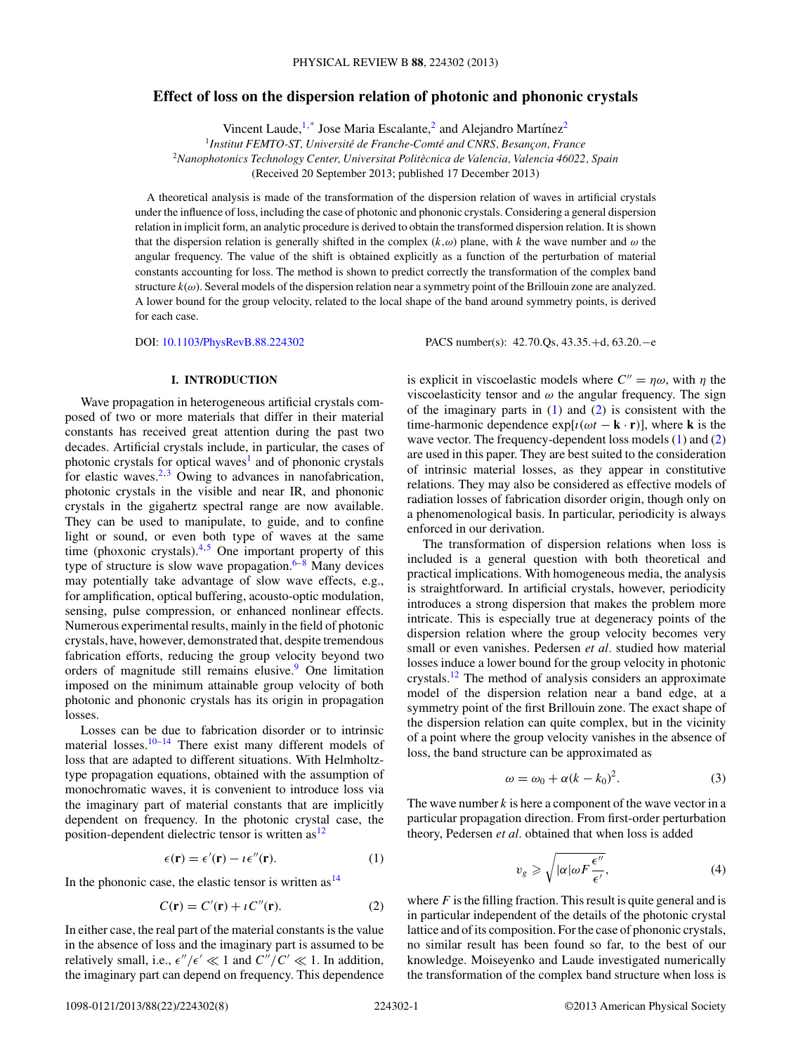# <span id="page-0-0"></span>**Effect of loss on the dispersion relation of photonic and phononic crystals**

Vincent Laude,<sup>1[,\\*](#page-6-0)</sup> Jose Maria Escalante,<sup>2</sup> and Alejandro Martínez<sup>2</sup>

<sup>1</sup> Institut FEMTO-ST, Université de Franche-Comté and CNRS, Besançon, France <sup>2</sup>*Nanophotonics Technology Center, Universitat Politecnica de Valencia, Valencia 46022, Spain `* (Received 20 September 2013; published 17 December 2013)

A theoretical analysis is made of the transformation of the dispersion relation of waves in artificial crystals under the influence of loss, including the case of photonic and phononic crystals. Considering a general dispersion relation in implicit form, an analytic procedure is derived to obtain the transformed dispersion relation. It is shown that the dispersion relation is generally shifted in the complex  $(k,\omega)$  plane, with k the wave number and  $\omega$  the angular frequency. The value of the shift is obtained explicitly as a function of the perturbation of material constants accounting for loss. The method is shown to predict correctly the transformation of the complex band structure *k*(*ω*). Several models of the dispersion relation near a symmetry point of the Brillouin zone are analyzed. A lower bound for the group velocity, related to the local shape of the band around symmetry points, is derived for each case.

DOI: [10.1103/PhysRevB.88.224302](http://dx.doi.org/10.1103/PhysRevB.88.224302) PACS number(s): 42*.*70*.*Qs*,* 43*.*35*.*+d*,* 63*.*20*.*−e

# **I. INTRODUCTION**

Wave propagation in heterogeneous artificial crystals composed of two or more materials that differ in their material constants has received great attention during the past two decades. Artificial crystals include, in particular, the cases of photonic crystals for optical waves<sup>[1](#page-6-0)</sup> and of phononic crystals for elastic waves.<sup>2,3</sup> Owing to advances in nanofabrication, photonic crystals in the visible and near IR, and phononic crystals in the gigahertz spectral range are now available. They can be used to manipulate, to guide, and to confine light or sound, or even both type of waves at the same time (phoxonic crystals). $4.5$  One important property of this type of structure is slow wave propagation. $6-8$  Many devices may potentially take advantage of slow wave effects, e.g., for amplification, optical buffering, acousto-optic modulation, sensing, pulse compression, or enhanced nonlinear effects. Numerous experimental results, mainly in the field of photonic crystals, have, however, demonstrated that, despite tremendous fabrication efforts, reducing the group velocity beyond two orders of magnitude still remains elusive.<sup>[9](#page-6-0)</sup> One limitation imposed on the minimum attainable group velocity of both photonic and phononic crystals has its origin in propagation losses.

Losses can be due to fabrication disorder or to intrinsic material losses.<sup>10–14</sup> There exist many different models of loss that are adapted to different situations. With Helmholtztype propagation equations, obtained with the assumption of monochromatic waves, it is convenient to introduce loss via the imaginary part of material constants that are implicitly dependent on frequency. In the photonic crystal case, the position-dependent dielectric tensor is written  $as<sup>12</sup>$ 

$$
\epsilon(\mathbf{r}) = \epsilon'(\mathbf{r}) - \iota \epsilon''(\mathbf{r}).\tag{1}
$$

In the phononic case, the elastic tensor is written  $as^{14}$  $as^{14}$  $as^{14}$ 

$$
C(\mathbf{r}) = C'(\mathbf{r}) + \iota C''(\mathbf{r}).\tag{2}
$$

In either case, the real part of the material constants is the value in the absence of loss and the imaginary part is assumed to be relatively small, i.e.,  $\epsilon''/\epsilon' \ll 1$  and  $C''/C' \ll 1$ . In addition, the imaginary part can depend on frequency. This dependence

is explicit in viscoelastic models where  $C'' = \eta \omega$ , with  $\eta$  the viscoelasticity tensor and  $\omega$  the angular frequency. The sign of the imaginary parts in  $(1)$  and  $(2)$  is consistent with the time-harmonic dependence  $exp[i(\omega t - \mathbf{k} \cdot \mathbf{r})]$ , where **k** is the wave vector. The frequency-dependent loss models (1) and (2) are used in this paper. They are best suited to the consideration of intrinsic material losses, as they appear in constitutive relations. They may also be considered as effective models of radiation losses of fabrication disorder origin, though only on a phenomenological basis. In particular, periodicity is always enforced in our derivation.

The transformation of dispersion relations when loss is included is a general question with both theoretical and practical implications. With homogeneous media, the analysis is straightforward. In artificial crystals, however, periodicity introduces a strong dispersion that makes the problem more intricate. This is especially true at degeneracy points of the dispersion relation where the group velocity becomes very small or even vanishes. Pedersen *et al.* studied how material losses induce a lower bound for the group velocity in photonic crystals[.12](#page-6-0) The method of analysis considers an approximate model of the dispersion relation near a band edge, at a symmetry point of the first Brillouin zone. The exact shape of the dispersion relation can quite complex, but in the vicinity of a point where the group velocity vanishes in the absence of loss, the band structure can be approximated as

$$
\omega = \omega_0 + \alpha (k - k_0)^2. \tag{3}
$$

The wave number *k* is here a component of the wave vector in a particular propagation direction. From first-order perturbation theory, Pedersen *et al.* obtained that when loss is added

$$
v_g \geqslant \sqrt{|\alpha| \omega F \frac{\epsilon''}{\epsilon'}},\tag{4}
$$

where  $F$  is the filling fraction. This result is quite general and is in particular independent of the details of the photonic crystal lattice and of its composition. For the case of phononic crystals, no similar result has been found so far, to the best of our knowledge. Moiseyenko and Laude investigated numerically the transformation of the complex band structure when loss is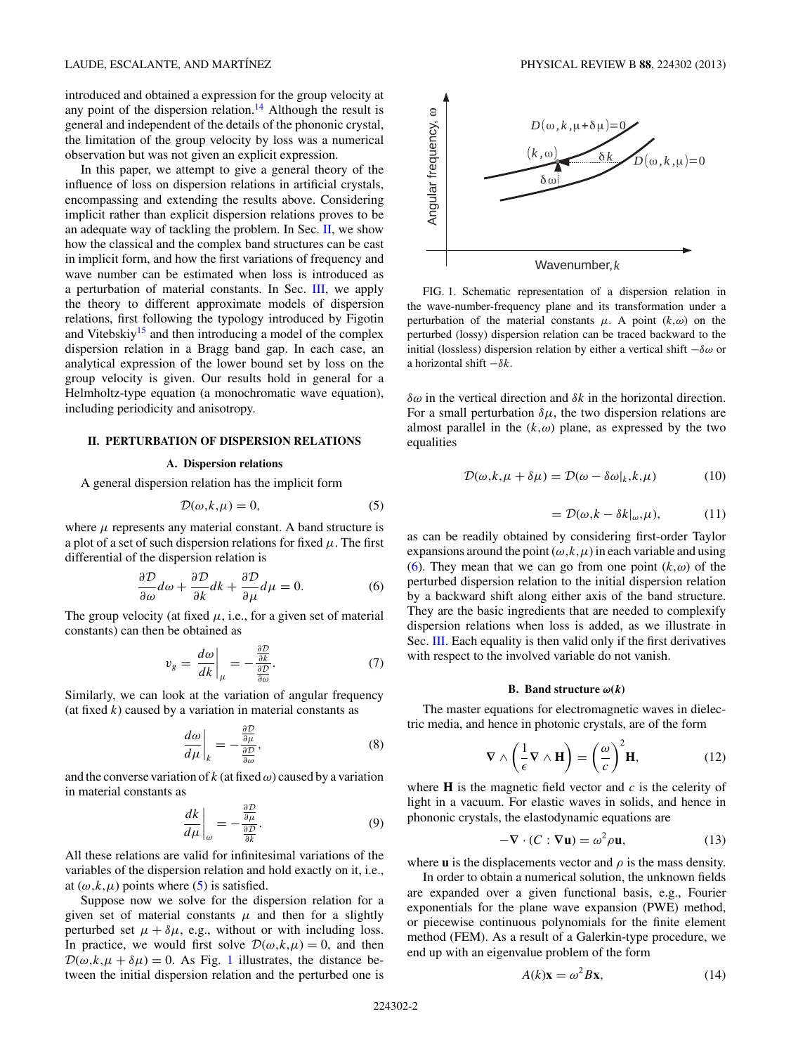<span id="page-1-0"></span>introduced and obtained a expression for the group velocity at any point of the dispersion relation.<sup>[14](#page-6-0)</sup> Although the result is general and independent of the details of the phononic crystal, the limitation of the group velocity by loss was a numerical observation but was not given an explicit expression.

In this paper, we attempt to give a general theory of the influence of loss on dispersion relations in artificial crystals, encompassing and extending the results above. Considering implicit rather than explicit dispersion relations proves to be an adequate way of tackling the problem. In Sec. II, we show how the classical and the complex band structures can be cast in implicit form, and how the first variations of frequency and wave number can be estimated when loss is introduced as a perturbation of material constants. In Sec. [III,](#page-3-0) we apply the theory to different approximate models of dispersion relations, first following the typology introduced by Figotin and Vitebskiy<sup>15</sup> and then introducing a model of the complex dispersion relation in a Bragg band gap. In each case, an analytical expression of the lower bound set by loss on the group velocity is given. Our results hold in general for a Helmholtz-type equation (a monochromatic wave equation), including periodicity and anisotropy.

### **II. PERTURBATION OF DISPERSION RELATIONS**

# **A. Dispersion relations**

A general dispersion relation has the implicit form

$$
\mathcal{D}(\omega, k, \mu) = 0,\tag{5}
$$

where  $\mu$  represents any material constant. A band structure is a plot of a set of such dispersion relations for fixed *μ*. The first differential of the dispersion relation is

$$
\frac{\partial \mathcal{D}}{\partial \omega} d\omega + \frac{\partial \mathcal{D}}{\partial k} dk + \frac{\partial \mathcal{D}}{\partial \mu} d\mu = 0.
$$
 (6)

The group velocity (at fixed  $\mu$ , i.e., for a given set of material constants) can then be obtained as

$$
v_g = \frac{d\omega}{dk}\bigg|_{\mu} = -\frac{\frac{\partial \mathcal{D}}{\partial k}}{\frac{\partial \mathcal{D}}{\partial \omega}}.\tag{7}
$$

Similarly, we can look at the variation of angular frequency (at fixed  $k$ ) caused by a variation in material constants as

$$
\left. \frac{d\omega}{d\mu} \right|_{k} = -\frac{\frac{\partial \mathcal{D}}{\partial \mu}}{\frac{\partial \mathcal{D}}{\partial \omega}},\tag{8}
$$

and the converse variation of  $k$  (at fixed  $\omega$ ) caused by a variation in material constants as

$$
\left. \frac{dk}{d\mu} \right|_{\omega} = -\frac{\frac{\partial \mathcal{D}}{\partial \mu}}{\frac{\partial \mathcal{D}}{\partial k}}.
$$
\n(9)

All these relations are valid for infinitesimal variations of the variables of the dispersion relation and hold exactly on it, i.e., at  $(\omega, k, \mu)$  points where (5) is satisfied.

Suppose now we solve for the dispersion relation for a given set of material constants  $\mu$  and then for a slightly perturbed set  $\mu + \delta \mu$ , e.g., without or with including loss. In practice, we would first solve  $\mathcal{D}(\omega, k, \mu) = 0$ , and then  $\mathcal{D}(\omega, k, \mu + \delta \mu) = 0$ . As Fig. 1 illustrates, the distance between the initial dispersion relation and the perturbed one is



FIG. 1. Schematic representation of a dispersion relation in the wave-number-frequency plane and its transformation under a perturbation of the material constants  $\mu$ . A point  $(k,\omega)$  on the perturbed (lossy) dispersion relation can be traced backward to the initial (lossless) dispersion relation by either a vertical shift −*δω* or a horizontal shift −*δk*.

*δω* in the vertical direction and *δk* in the horizontal direction. For a small perturbation  $\delta \mu$ , the two dispersion relations are almost parallel in the  $(k,\omega)$  plane, as expressed by the two equalities

$$
\mathcal{D}(\omega, k, \mu + \delta \mu) = \mathcal{D}(\omega - \delta \omega|_k, k, \mu) \tag{10}
$$

$$
= \mathcal{D}(\omega, k - \delta k|_{\omega}, \mu), \tag{11}
$$

as can be readily obtained by considering first-order Taylor expansions around the point  $(\omega, k, \mu)$  in each variable and using (6). They mean that we can go from one point  $(k,\omega)$  of the perturbed dispersion relation to the initial dispersion relation by a backward shift along either axis of the band structure. They are the basic ingredients that are needed to complexify dispersion relations when loss is added, as we illustrate in Sec. [III.](#page-3-0) Each equality is then valid only if the first derivatives with respect to the involved variable do not vanish.

#### **B.** Band structure  $\omega(k)$

The master equations for electromagnetic waves in dielectric media, and hence in photonic crystals, are of the form

$$
\nabla \wedge \left(\frac{1}{\epsilon} \nabla \wedge \mathbf{H}\right) = \left(\frac{\omega}{c}\right)^2 \mathbf{H},\tag{12}
$$

where **H** is the magnetic field vector and *c* is the celerity of light in a vacuum. For elastic waves in solids, and hence in phononic crystals, the elastodynamic equations are

$$
-\nabla \cdot (C : \nabla \mathbf{u}) = \omega^2 \rho \mathbf{u},\tag{13}
$$

where **u** is the displacements vector and  $\rho$  is the mass density.

In order to obtain a numerical solution, the unknown fields are expanded over a given functional basis, e.g., Fourier exponentials for the plane wave expansion (PWE) method, or piecewise continuous polynomials for the finite element method (FEM). As a result of a Galerkin-type procedure, we end up with an eigenvalue problem of the form

$$
A(k)\mathbf{x} = \omega^2 B \mathbf{x},\tag{14}
$$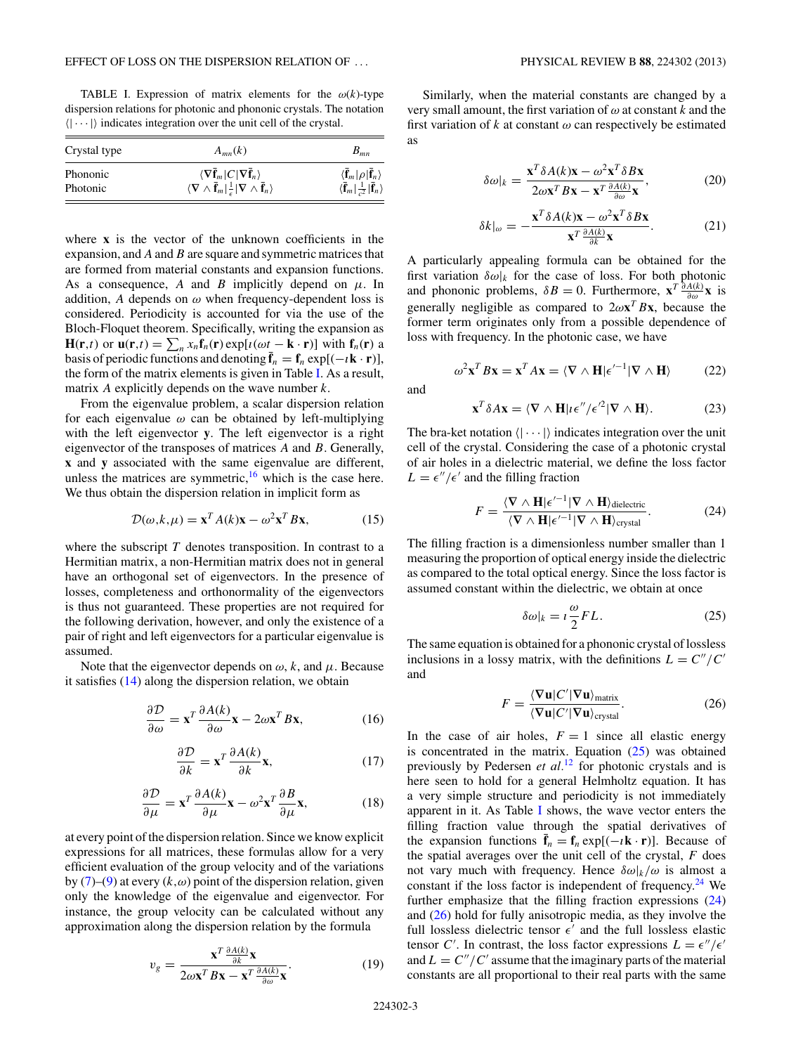<span id="page-2-0"></span>TABLE I. Expression of matrix elements for the  $\omega(k)$ -type dispersion relations for photonic and phononic crystals. The notation  $(| \cdots |)$  indicates integration over the unit cell of the crystal.

| Crystal type | $A_{mn}(k)$                                                                                                          | $B_{mn}$                                                                  |
|--------------|----------------------------------------------------------------------------------------------------------------------|---------------------------------------------------------------------------|
| Phononic     | $\langle \nabla \bar{\mathbf{f}}_m   C   \nabla \bar{\mathbf{f}}_n \rangle$                                          | $\langle \bar{\mathbf{f}}_m   \rho   \bar{\mathbf{f}}_n \rangle$          |
| Photonic     | $\langle \nabla \wedge \overline{\mathbf{f}}_m   \frac{1}{\epsilon}   \nabla \wedge \overline{\mathbf{f}}_n \rangle$ | $\langle \bar{\mathbf{f}}_m   \frac{1}{c^2}   \bar{\mathbf{f}}_n \rangle$ |

where **x** is the vector of the unknown coefficients in the expansion, and *A* and*B* are square and symmetric matrices that are formed from material constants and expansion functions. As a consequence, *A* and *B* implicitly depend on  $\mu$ . In addition, *A* depends on  $\omega$  when frequency-dependent loss is considered. Periodicity is accounted for via the use of the Bloch-Floquet theorem. Specifically, writing the expansion as **H**(**r**,*t*) or **u**(**r**,*t*) =  $\sum_{n} x_n \mathbf{f}_n(\mathbf{r}) \exp[i(\omega t - \mathbf{k} \cdot \mathbf{r})]$  with  $\mathbf{f}_n(\mathbf{r})$  a basis of periodic functions and denoting  $\mathbf{\bar{f}}_n = \mathbf{f}_n \exp[(-i\mathbf{k} \cdot \mathbf{r})]$ , the form of the matrix elements is given in Table I. As a result, matrix *A* explicitly depends on the wave number *k*.

From the eigenvalue problem, a scalar dispersion relation for each eigenvalue *ω* can be obtained by left-multiplying with the left eigenvector **y**. The left eigenvector is a right eigenvector of the transposes of matrices *A* and *B*. Generally, **x** and **y** associated with the same eigenvalue are different, unless the matrices are symmetric,  $16$  which is the case here. We thus obtain the dispersion relation in implicit form as

$$
\mathcal{D}(\omega, k, \mu) = \mathbf{x}^T A(k) \mathbf{x} - \omega^2 \mathbf{x}^T B \mathbf{x},\tag{15}
$$

where the subscript *T* denotes transposition. In contrast to a Hermitian matrix, a non-Hermitian matrix does not in general have an orthogonal set of eigenvectors. In the presence of losses, completeness and orthonormality of the eigenvectors is thus not guaranteed. These properties are not required for the following derivation, however, and only the existence of a pair of right and left eigenvectors for a particular eigenvalue is assumed.

Note that the eigenvector depends on  $\omega$ , *k*, and  $\mu$ . Because it satisfies [\(14\)](#page-1-0) along the dispersion relation, we obtain

$$
\frac{\partial \mathcal{D}}{\partial \omega} = \mathbf{x}^T \frac{\partial A(k)}{\partial \omega} \mathbf{x} - 2\omega \mathbf{x}^T B \mathbf{x},\tag{16}
$$

$$
\frac{\partial \mathcal{D}}{\partial k} = \mathbf{x}^T \frac{\partial A(k)}{\partial k} \mathbf{x},\tag{17}
$$

$$
\frac{\partial \mathcal{D}}{\partial \mu} = \mathbf{x}^T \frac{\partial A(k)}{\partial \mu} \mathbf{x} - \omega^2 \mathbf{x}^T \frac{\partial B}{\partial \mu} \mathbf{x},\tag{18}
$$

at every point of the dispersion relation. Since we know explicit expressions for all matrices, these formulas allow for a very efficient evaluation of the group velocity and of the variations by  $(7)$ – $(9)$  at every  $(k,\omega)$  point of the dispersion relation, given only the knowledge of the eigenvalue and eigenvector. For instance, the group velocity can be calculated without any approximation along the dispersion relation by the formula

$$
v_g = \frac{\mathbf{x}^T \frac{\partial A(k)}{\partial k} \mathbf{x}}{2\omega \mathbf{x}^T B \mathbf{x} - \mathbf{x}^T \frac{\partial A(k)}{\partial \omega} \mathbf{x}}.
$$
(19)

Similarly, when the material constants are changed by a very small amount, the first variation of *ω* at constant *k* and the first variation of  $k$  at constant  $\omega$  can respectively be estimated as

$$
\delta\omega|_{k} = \frac{\mathbf{x}^{T}\delta A(k)\mathbf{x} - \omega^{2}\mathbf{x}^{T}\delta B\mathbf{x}}{2\omega\mathbf{x}^{T}B\mathbf{x} - \mathbf{x}^{T}\frac{\partial A(k)}{\partial \omega}\mathbf{x}},
$$
(20)

$$
\delta k|_{\omega} = -\frac{\mathbf{x}^T \delta A(k) \mathbf{x} - \omega^2 \mathbf{x}^T \delta B \mathbf{x}}{\mathbf{x}^T \frac{\partial A(k)}{\partial k} \mathbf{x}}.
$$
 (21)

A particularly appealing formula can be obtained for the first variation  $\delta \omega |_k$  for the case of loss. For both photonic and phononic problems,  $\delta B = 0$ . Furthermore,  $\mathbf{x}^T \frac{\partial A(k)}{\partial \omega} \mathbf{x}$  is generally negligible as compared to  $2\omega \mathbf{x}^T B \mathbf{x}$ , because the former term originates only from a possible dependence of loss with frequency. In the photonic case, we have

$$
\omega^2 \mathbf{x}^T B \mathbf{x} = \mathbf{x}^T A \mathbf{x} = \langle \nabla \wedge \mathbf{H} | \epsilon'^{-1} | \nabla \wedge \mathbf{H} \rangle \tag{22}
$$

and

$$
\mathbf{x}^T \delta A \mathbf{x} = \langle \nabla \wedge \mathbf{H} | \iota \epsilon'' / \epsilon'^2 | \nabla \wedge \mathbf{H} \rangle. \tag{23}
$$

The bra-ket notation  $\langle \vert \cdots \vert \rangle$  indicates integration over the unit cell of the crystal. Considering the case of a photonic crystal of air holes in a dielectric material, we define the loss factor  $L = \epsilon''/\epsilon'$  and the filling fraction

$$
F = \frac{\langle \nabla \wedge \mathbf{H} | \epsilon'^{-1} | \nabla \wedge \mathbf{H} \rangle_{\text{dielectric}}}{\langle \nabla \wedge \mathbf{H} | \epsilon'^{-1} | \nabla \wedge \mathbf{H} \rangle_{\text{crystal}}}.
$$
 (24)

The filling fraction is a dimensionless number smaller than 1 measuring the proportion of optical energy inside the dielectric as compared to the total optical energy. Since the loss factor is assumed constant within the dielectric, we obtain at once

$$
\delta\omega|_{k} = i\frac{\omega}{2}FL. \tag{25}
$$

The same equation is obtained for a phononic crystal of lossless inclusions in a lossy matrix, with the definitions  $L = C''/C'$ and

$$
F = \frac{\langle \nabla \mathbf{u} | C' | \nabla \mathbf{u} \rangle_{\text{matrix}}}{\langle \nabla \mathbf{u} | C' | \nabla \mathbf{u} \rangle_{\text{crystal}}}.
$$
 (26)

In the case of air holes,  $F = 1$  since all elastic energy is concentrated in the matrix. Equation  $(25)$  was obtained previously by Pedersen *et al.*[12](#page-6-0) for photonic crystals and is here seen to hold for a general Helmholtz equation. It has a very simple structure and periodicity is not immediately apparent in it. As Table I shows, the wave vector enters the filling fraction value through the spatial derivatives of the expansion functions  $\mathbf{\bar{f}}_n = \mathbf{f}_n \exp[(-i\mathbf{k} \cdot \mathbf{r})]$ . Because of the spatial averages over the unit cell of the crystal, *F* does not vary much with frequency. Hence  $\delta \omega |k/\omega$  is almost a constant if the loss factor is independent of frequency. $24$  We further emphasize that the filling fraction expressions (24) and (26) hold for fully anisotropic media, as they involve the full lossless dielectric tensor  $\epsilon'$  and the full lossless elastic tensor *C'*. In contrast, the loss factor expressions  $L = \epsilon''/\epsilon'$ and  $L = C''/C'$  assume that the imaginary parts of the material constants are all proportional to their real parts with the same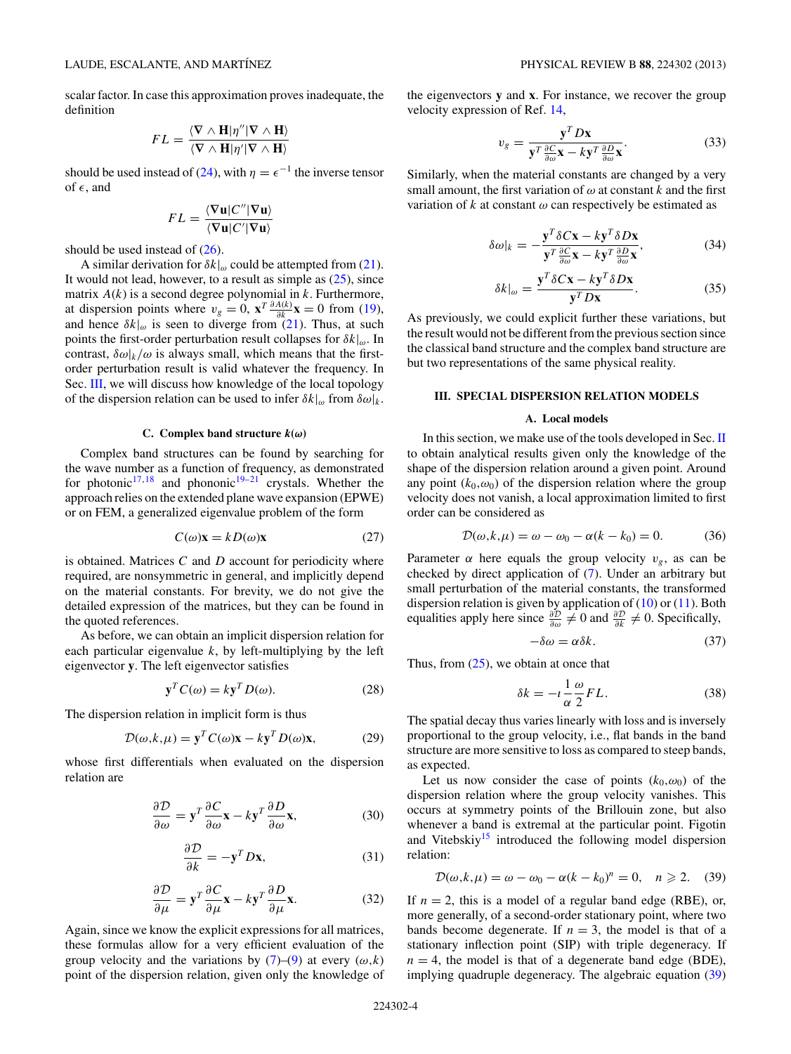<span id="page-3-0"></span>scalar factor. In case this approximation proves inadequate, the definition

$$
FL = \frac{\langle \nabla \wedge \mathbf{H} | \eta'' | \nabla \wedge \mathbf{H} \rangle}{\langle \nabla \wedge \mathbf{H} | \eta' | \nabla \wedge \mathbf{H} \rangle}
$$

should be used instead of [\(24\)](#page-2-0), with  $\eta = \epsilon^{-1}$  the inverse tensor of  $\epsilon$ , and

$$
FL = \frac{\langle \nabla \mathbf{u} | C'' | \nabla \mathbf{u} \rangle}{\langle \nabla \mathbf{u} | C' | \nabla \mathbf{u} \rangle}
$$

should be used instead of  $(26)$ .

A similar derivation for  $\delta k|_{\omega}$  could be attempted from [\(21\)](#page-2-0). It would not lead, however, to a result as simple as  $(25)$ , since matrix *A*(*k*) is a second degree polynomial in *k*. Furthermore, at dispersion points where  $v_g = 0$ ,  $\mathbf{x}^T \frac{\partial A(k)}{\partial k} \mathbf{x} = 0$  from [\(19\)](#page-2-0), and hence  $\delta k|_{\omega}$  is seen to diverge from [\(21\)](#page-2-0). Thus, at such points the first-order perturbation result collapses for *δk*|*ω*. In contrast,  $\delta \omega_k/\omega$  is always small, which means that the firstorder perturbation result is valid whatever the frequency. In Sec. III, we will discuss how knowledge of the local topology of the dispersion relation can be used to infer  $\delta k|_{\omega}$  from  $\delta \omega|_{k}$ .

#### **C.** Complex band structure  $k(\omega)$

Complex band structures can be found by searching for the wave number as a function of frequency, as demonstrated for photonic<sup>17,[18](#page-7-0)</sup> and phononic<sup>19–21</sup> crystals. Whether the approach relies on the extended plane wave expansion (EPWE) or on FEM, a generalized eigenvalue problem of the form

$$
C(\omega)\mathbf{x} = kD(\omega)\mathbf{x} \tag{27}
$$

is obtained. Matrices *C* and *D* account for periodicity where required, are nonsymmetric in general, and implicitly depend on the material constants. For brevity, we do not give the detailed expression of the matrices, but they can be found in the quoted references.

As before, we can obtain an implicit dispersion relation for each particular eigenvalue *k*, by left-multiplying by the left eigenvector **y**. The left eigenvector satisfies

$$
\mathbf{y}^T C(\omega) = k \mathbf{y}^T D(\omega). \tag{28}
$$

The dispersion relation in implicit form is thus

$$
\mathcal{D}(\omega, k, \mu) = \mathbf{y}^T C(\omega) \mathbf{x} - k \mathbf{y}^T D(\omega) \mathbf{x},\tag{29}
$$

whose first differentials when evaluated on the dispersion relation are

$$
\frac{\partial \mathcal{D}}{\partial \omega} = \mathbf{y}^T \frac{\partial C}{\partial \omega} \mathbf{x} - k \mathbf{y}^T \frac{\partial D}{\partial \omega} \mathbf{x},\tag{30}
$$

$$
\frac{\partial \mathcal{D}}{\partial k} = -\mathbf{y}^T D \mathbf{x},\tag{31}
$$

$$
\frac{\partial \mathcal{D}}{\partial \mu} = \mathbf{y}^T \frac{\partial C}{\partial \mu} \mathbf{x} - k \mathbf{y}^T \frac{\partial D}{\partial \mu} \mathbf{x}.
$$
 (32)

Again, since we know the explicit expressions for all matrices, these formulas allow for a very efficient evaluation of the group velocity and the variations by  $(7)-(9)$  $(7)-(9)$  $(7)-(9)$  at every  $(\omega, k)$ point of the dispersion relation, given only the knowledge of the eigenvectors **y** and **x**. For instance, we recover the group velocity expression of Ref. [14,](#page-6-0)

$$
v_g = \frac{\mathbf{y}^T D \mathbf{x}}{\mathbf{y}^T \frac{\partial C}{\partial \omega} \mathbf{x} - k \mathbf{y}^T \frac{\partial D}{\partial \omega} \mathbf{x}}.
$$
 (33)

Similarly, when the material constants are changed by a very small amount, the first variation of  $\omega$  at constant  $k$  and the first variation of  $k$  at constant  $\omega$  can respectively be estimated as

$$
\delta\omega|_{k} = -\frac{\mathbf{y}^{T}\delta C\mathbf{x} - k\mathbf{y}^{T}\delta D\mathbf{x}}{\mathbf{y}^{T}\frac{\partial C}{\partial \omega}\mathbf{x} - k\mathbf{y}^{T}\frac{\partial D}{\partial \omega}\mathbf{x}},
$$
(34)

$$
\delta k|_{\omega} = \frac{\mathbf{y}^T \delta C \mathbf{x} - k \mathbf{y}^T \delta D \mathbf{x}}{\mathbf{y}^T D \mathbf{x}}.
$$
 (35)

As previously, we could explicit further these variations, but the result would not be different from the previous section since the classical band structure and the complex band structure are but two representations of the same physical reality.

### **III. SPECIAL DISPERSION RELATION MODELS**

# **A. Local models**

In this section, we make use of the tools developed in Sec. [II](#page-1-0) to obtain analytical results given only the knowledge of the shape of the dispersion relation around a given point. Around any point  $(k_0, \omega_0)$  of the dispersion relation where the group velocity does not vanish, a local approximation limited to first order can be considered as

$$
\mathcal{D}(\omega, k, \mu) = \omega - \omega_0 - \alpha(k - k_0) = 0. \tag{36}
$$

Parameter  $\alpha$  here equals the group velocity  $v_g$ , as can be checked by direct application of [\(7\)](#page-1-0). Under an arbitrary but small perturbation of the material constants, the transformed dispersion relation is given by application of  $(10)$  or  $(11)$ . Both equalities apply here since  $\frac{\partial \mathcal{D}}{\partial \omega} \neq 0$  and  $\frac{\partial \mathcal{D}}{\partial k} \neq 0$ . Specifically,

$$
-\delta\omega = \alpha \delta k. \tag{37}
$$

Thus, from  $(25)$ , we obtain at once that

$$
\delta k = -i \frac{1}{\alpha} \frac{\omega}{2} F L. \tag{38}
$$

The spatial decay thus varies linearly with loss and is inversely proportional to the group velocity, i.e., flat bands in the band structure are more sensitive to loss as compared to steep bands, as expected.

Let us now consider the case of points  $(k_0, \omega_0)$  of the dispersion relation where the group velocity vanishes. This occurs at symmetry points of the Brillouin zone, but also whenever a band is extremal at the particular point. Figotin and Vitebskiy<sup>15</sup> introduced the following model dispersion relation:

$$
\mathcal{D}(\omega,k,\mu) = \omega - \omega_0 - \alpha (k - k_0)^n = 0, \quad n \ge 2. \tag{39}
$$

If  $n = 2$ , this is a model of a regular band edge (RBE), or, more generally, of a second-order stationary point, where two bands become degenerate. If  $n = 3$ , the model is that of a stationary inflection point (SIP) with triple degeneracy. If  $n = 4$ , the model is that of a degenerate band edge (BDE), implying quadruple degeneracy. The algebraic equation (39)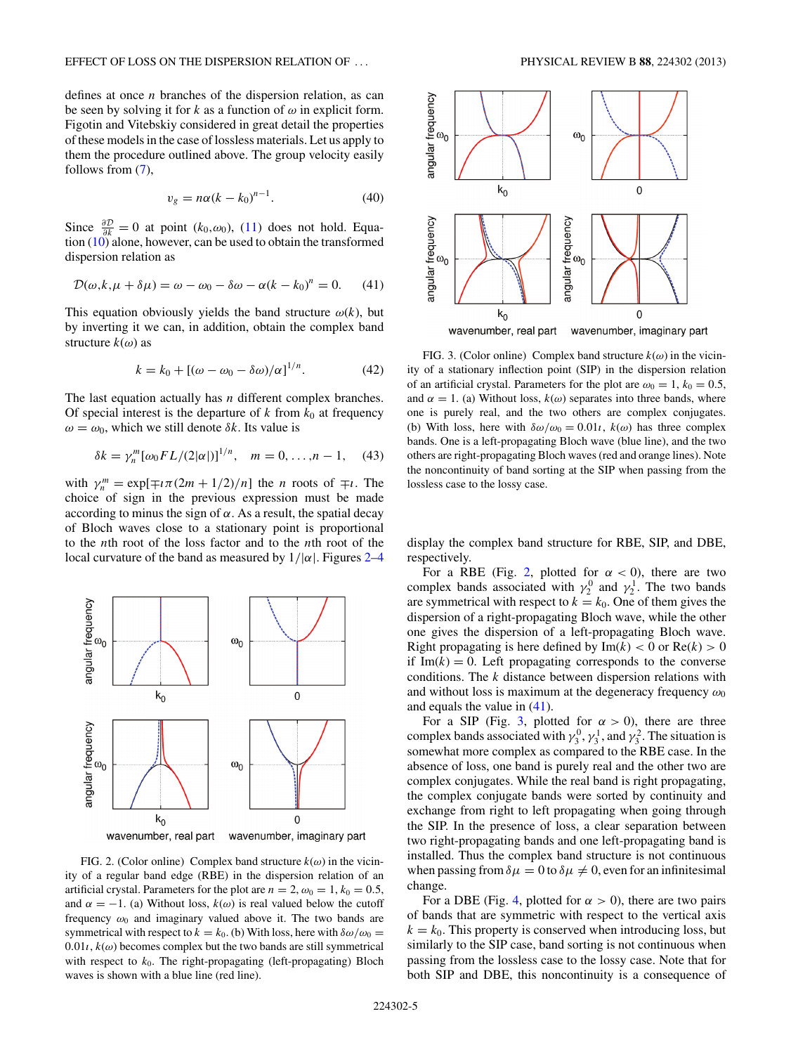<span id="page-4-0"></span>defines at once *n* branches of the dispersion relation, as can be seen by solving it for *k* as a function of  $\omega$  in explicit form. Figotin and Vitebskiy considered in great detail the properties of these models in the case of lossless materials. Let us apply to them the procedure outlined above. The group velocity easily follows from  $(7)$ ,

$$
v_g = n\alpha (k - k_0)^{n-1}.\tag{40}
$$

Since  $\frac{\partial D}{\partial k} = 0$  at point ( $k_0, \omega_0$ ), [\(11\)](#page-1-0) does not hold. Equation [\(10\)](#page-1-0) alone, however, can be used to obtain the transformed dispersion relation as

$$
\mathcal{D}(\omega, k, \mu + \delta \mu) = \omega - \omega_0 - \delta \omega - \alpha (k - k_0)^n = 0. \tag{41}
$$

This equation obviously yields the band structure  $\omega(k)$ , but by inverting it we can, in addition, obtain the complex band structure *k*(*ω*) as

$$
k = k_0 + [(\omega - \omega_0 - \delta \omega)/\alpha]^{1/n}.
$$
 (42)

The last equation actually has *n* different complex branches. Of special interest is the departure of  $k$  from  $k_0$  at frequency  $\omega = \omega_0$ , which we still denote  $\delta k$ . Its value is

$$
\delta k = \gamma_n^m [\omega_0 F L / (2|\alpha|)]^{1/n}, \quad m = 0, \dots, n-1, \quad (43)
$$

with  $\gamma_n^m = \exp[\mp i \pi (2m + 1/2)/n]$  the *n* roots of  $\mp i$ . The choice of sign in the previous expression must be made according to minus the sign of  $\alpha$ . As a result, the spatial decay of Bloch waves close to a stationary point is proportional to the *n*th root of the loss factor and to the *n*th root of the local curvature of the band as measured by  $1/|\alpha|$ . Figures 2[–4](#page-5-0)



FIG. 2. (Color online) Complex band structure  $k(\omega)$  in the vicinity of a regular band edge (RBE) in the dispersion relation of an artificial crystal. Parameters for the plot are  $n = 2$ ,  $\omega_0 = 1$ ,  $k_0 = 0.5$ , and  $\alpha = -1$ . (a) Without loss,  $k(\omega)$  is real valued below the cutoff frequency  $\omega_0$  and imaginary valued above it. The two bands are symmetrical with respect to  $k = k_0$ . (b) With loss, here with  $\delta \omega / \omega_0 =$  $0.01$ *i*,  $k(\omega)$  becomes complex but the two bands are still symmetrical with respect to  $k_0$ . The right-propagating (left-propagating) Bloch waves is shown with a blue line (red line).

FIG. 3. (Color online) Complex band structure  $k(\omega)$  in the vicinity of a stationary inflection point (SIP) in the dispersion relation of an artificial crystal. Parameters for the plot are  $\omega_0 = 1$ ,  $k_0 = 0.5$ , and  $\alpha = 1$ . (a) Without loss,  $k(\omega)$  separates into three bands, where one is purely real, and the two others are complex conjugates. (b) With loss, here with  $\delta \omega / \omega_0 = 0.01$ *i*,  $k(\omega)$  has three complex bands. One is a left-propagating Bloch wave (blue line), and the two others are right-propagating Bloch waves (red and orange lines). Note the noncontinuity of band sorting at the SIP when passing from the lossless case to the lossy case.

display the complex band structure for RBE, SIP, and DBE, respectively.

For a RBE (Fig. 2, plotted for  $\alpha < 0$ ), there are two complex bands associated with  $\gamma_2^0$  and  $\gamma_2^1$ . The two bands are symmetrical with respect to  $k = k_0$ . One of them gives the dispersion of a right-propagating Bloch wave, while the other one gives the dispersion of a left-propagating Bloch wave. Right propagating is here defined by  $Im(k) < 0$  or  $Re(k) > 0$ if  $Im(k) = 0$ . Left propagating corresponds to the converse conditions. The *k* distance between dispersion relations with and without loss is maximum at the degeneracy frequency  $\omega_0$ and equals the value in (41).

For a SIP (Fig. 3, plotted for  $\alpha > 0$ ), there are three complex bands associated with  $\gamma_3^0$ ,  $\gamma_3^1$ , and  $\gamma_3^2$ . The situation is somewhat more complex as compared to the RBE case. In the absence of loss, one band is purely real and the other two are complex conjugates. While the real band is right propagating, the complex conjugate bands were sorted by continuity and exchange from right to left propagating when going through the SIP. In the presence of loss, a clear separation between two right-propagating bands and one left-propagating band is installed. Thus the complex band structure is not continuous when passing from  $\delta \mu = 0$  to  $\delta \mu \neq 0$ , even for an infinitesimal change.

For a DBE (Fig. [4,](#page-5-0) plotted for  $\alpha > 0$ ), there are two pairs of bands that are symmetric with respect to the vertical axis  $k = k<sub>0</sub>$ . This property is conserved when introducing loss, but similarly to the SIP case, band sorting is not continuous when passing from the lossless case to the lossy case. Note that for both SIP and DBE, this noncontinuity is a consequence of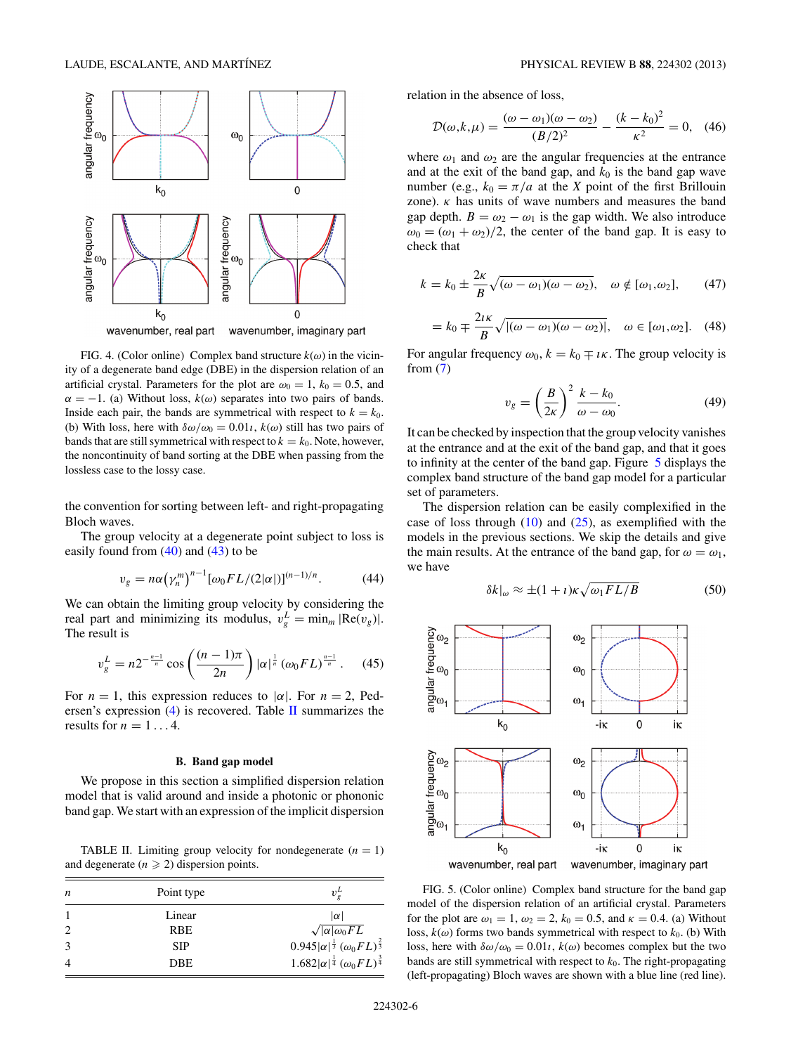<span id="page-5-0"></span>

FIG. 4. (Color online) Complex band structure  $k(\omega)$  in the vicinity of a degenerate band edge (DBE) in the dispersion relation of an artificial crystal. Parameters for the plot are  $\omega_0 = 1$ ,  $k_0 = 0.5$ , and  $\alpha = -1$ . (a) Without loss,  $k(\omega)$  separates into two pairs of bands. Inside each pair, the bands are symmetrical with respect to  $k = k_0$ . (b) With loss, here with  $\delta \omega / \omega_0 = 0.01$ *i*,  $k(\omega)$  still has two pairs of bands that are still symmetrical with respect to  $k = k_0$ . Note, however, the noncontinuity of band sorting at the DBE when passing from the lossless case to the lossy case.

the convention for sorting between left- and right-propagating Bloch waves.

The group velocity at a degenerate point subject to loss is easily found from  $(40)$  and  $(43)$  to be

$$
v_g = n\alpha \left(\gamma_n^m\right)^{n-1} [\omega_0 F L/(2|\alpha|)]^{(n-1)/n}.
$$
 (44)

We can obtain the limiting group velocity by considering the real part and minimizing its modulus,  $v_g^L = \min_m |\text{Re}(v_g)|$ . The result is

$$
v_g^L = n2^{-\frac{n-1}{n}} \cos\left(\frac{(n-1)\pi}{2n}\right) |\alpha|^{\frac{1}{n}} (\omega_0 F L)^{\frac{n-1}{n}}. \quad (45)
$$

For  $n = 1$ , this expression reduces to  $|\alpha|$ . For  $n = 2$ , Pedersen's expression  $(4)$  is recovered. Table II summarizes the results for  $n = 1...4$ .

#### **B. Band gap model**

We propose in this section a simplified dispersion relation model that is valid around and inside a photonic or phononic band gap. We start with an expression of the implicit dispersion

TABLE II. Limiting group velocity for nondegenerate  $(n = 1)$ and degenerate  $(n \geq 2)$  dispersion points.

| n              | Point type | $v^{\mu}$                                                                                  |
|----------------|------------|--------------------------------------------------------------------------------------------|
|                | Linear     | $ \alpha $                                                                                 |
| 2              | <b>RBE</b> |                                                                                            |
| 3              | <b>SIP</b> | $\sqrt{ \alpha  \omega_0 F L}$ 0.945 $ \alpha ^{\frac{1}{3}} (\omega_0 F L)^{\frac{2}{3}}$ |
| $\overline{4}$ | DBE.       | $1.682 \alpha ^{\frac{1}{4}}(\omega_0FL)^{\frac{3}{4}}$                                    |

relation in the absence of loss,

$$
\mathcal{D}(\omega, k, \mu) = \frac{(\omega - \omega_1)(\omega - \omega_2)}{(B/2)^2} - \frac{(k - k_0)^2}{\kappa^2} = 0, \quad (46)
$$

where  $\omega_1$  and  $\omega_2$  are the angular frequencies at the entrance and at the exit of the band gap, and  $k_0$  is the band gap wave number (e.g.,  $k_0 = \pi/a$  at the *X* point of the first Brillouin zone).  $\kappa$  has units of wave numbers and measures the band gap depth.  $B = \omega_2 - \omega_1$  is the gap width. We also introduce  $\omega_0 = (\omega_1 + \omega_2)/2$ , the center of the band gap. It is easy to check that

$$
k = k_0 \pm \frac{2\kappa}{B} \sqrt{(\omega - \omega_1)(\omega - \omega_2)}, \quad \omega \notin [\omega_1, \omega_2], \qquad (47)
$$

$$
=k_0\mp\frac{2i\kappa}{B}\sqrt{|(\omega-\omega_1)(\omega-\omega_2)|},\quad\omega\in[\omega_1,\omega_2].\quad(48)
$$

For angular frequency  $\omega_0$ ,  $k = k_0 \mp i\kappa$ . The group velocity is from  $(7)$ 

$$
v_g = \left(\frac{B}{2\kappa}\right)^2 \frac{k - k_0}{\omega - \omega_0}.\tag{49}
$$

It can be checked by inspection that the group velocity vanishes at the entrance and at the exit of the band gap, and that it goes to infinity at the center of the band gap. Figure 5 displays the complex band structure of the band gap model for a particular set of parameters.

The dispersion relation can be easily complexified in the case of loss through  $(10)$  and  $(25)$ , as exemplified with the models in the previous sections. We skip the details and give the main results. At the entrance of the band gap, for  $\omega = \omega_1$ , we have

$$
\delta k|_{\omega} \approx \pm (1+i)\kappa \sqrt{\omega_1 F L/B} \tag{50}
$$



FIG. 5. (Color online) Complex band structure for the band gap model of the dispersion relation of an artificial crystal. Parameters for the plot are  $\omega_1 = 1$ ,  $\omega_2 = 2$ ,  $k_0 = 0.5$ , and  $\kappa = 0.4$ . (a) Without loss,  $k(\omega)$  forms two bands symmetrical with respect to  $k_0$ . (b) With loss, here with  $\delta \omega / \omega_0 = 0.01$ *ι*,  $k(\omega)$  becomes complex but the two bands are still symmetrical with respect to  $k_0$ . The right-propagating (left-propagating) Bloch waves are shown with a blue line (red line).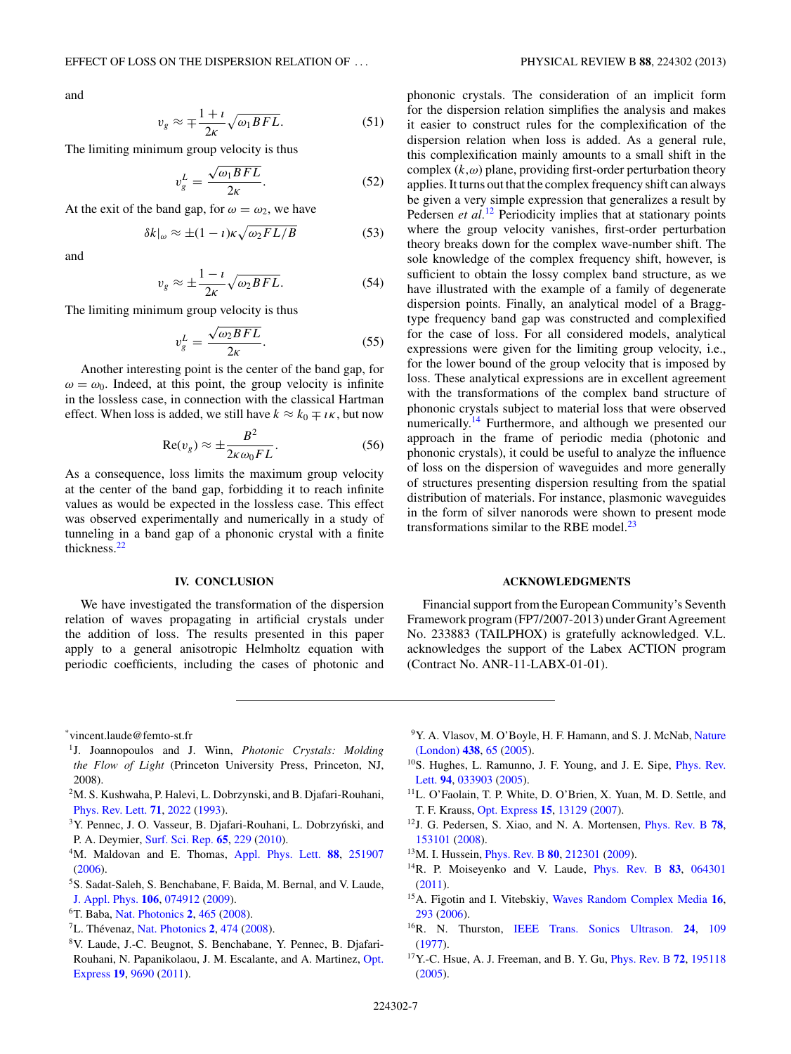<span id="page-6-0"></span>and

$$
v_g \approx \mp \frac{1+i}{2\kappa} \sqrt{\omega_1 BFL}.
$$
 (51)

The limiting minimum group velocity is thus

$$
v_g^L = \frac{\sqrt{\omega_1 B F L}}{2\kappa}.
$$
 (52)

At the exit of the band gap, for  $\omega = \omega_2$ , we have

$$
\delta k|_{\omega} \approx \pm (1 - \iota) \kappa \sqrt{\omega_2 F L/B} \tag{53}
$$

and

$$
v_g \approx \pm \frac{1 - i}{2\kappa} \sqrt{\omega_2 BFL}.
$$
 (54)

The limiting minimum group velocity is thus

$$
v_g^L = \frac{\sqrt{\omega_2 BFL}}{2\kappa}.\tag{55}
$$

Another interesting point is the center of the band gap, for  $\omega = \omega_0$ . Indeed, at this point, the group velocity is infinite in the lossless case, in connection with the classical Hartman effect. When loss is added, we still have  $k \approx k_0 \mp i\kappa$ , but now

$$
\operatorname{Re}(v_g) \approx \pm \frac{B^2}{2\kappa \omega_0 FL}.\tag{56}
$$

As a consequence, loss limits the maximum group velocity at the center of the band gap, forbidding it to reach infinite values as would be expected in the lossless case. This effect was observed experimentally and numerically in a study of tunneling in a band gap of a phononic crystal with a finite thickness[.22](#page-7-0)

### **IV. CONCLUSION**

We have investigated the transformation of the dispersion relation of waves propagating in artificial crystals under the addition of loss. The results presented in this paper apply to a general anisotropic Helmholtz equation with periodic coefficients, including the cases of photonic and phononic crystals. The consideration of an implicit form for the dispersion relation simplifies the analysis and makes it easier to construct rules for the complexification of the dispersion relation when loss is added. As a general rule, this complexification mainly amounts to a small shift in the complex (*k,ω*) plane, providing first-order perturbation theory applies. It turns out that the complex frequency shift can always be given a very simple expression that generalizes a result by Pedersen *et al.*<sup>12</sup> Periodicity implies that at stationary points where the group velocity vanishes, first-order perturbation theory breaks down for the complex wave-number shift. The sole knowledge of the complex frequency shift, however, is sufficient to obtain the lossy complex band structure, as we have illustrated with the example of a family of degenerate dispersion points. Finally, an analytical model of a Braggtype frequency band gap was constructed and complexified for the case of loss. For all considered models, analytical expressions were given for the limiting group velocity, i.e., for the lower bound of the group velocity that is imposed by loss. These analytical expressions are in excellent agreement with the transformations of the complex band structure of phononic crystals subject to material loss that were observed numerically.<sup>14</sup> Furthermore, and although we presented our approach in the frame of periodic media (photonic and phononic crystals), it could be useful to analyze the influence of loss on the dispersion of waveguides and more generally of structures presenting dispersion resulting from the spatial distribution of materials. For instance, plasmonic waveguides in the form of silver nanorods were shown to present mode transformations similar to the RBE model. $^{23}$  $^{23}$  $^{23}$ 

#### **ACKNOWLEDGMENTS**

Financial support from the European Community's Seventh Framework program (FP7/2007-2013) under Grant Agreement No. 233883 (TAILPHOX) is gratefully acknowledged. V.L. acknowledges the support of the Labex ACTION program (Contract No. ANR-11-LABX-01-01).

\*vincent.laude@femto-st.fr

- 1J. Joannopoulos and J. Winn, *Photonic Crystals: Molding the Flow of Light* (Princeton University Press, Princeton, NJ, 2008).
- 2M. S. Kushwaha, P. Halevi, L. Dobrzynski, and B. Djafari-Rouhani, [Phys. Rev. Lett.](http://dx.doi.org/10.1103/PhysRevLett.71.2022) **[71](http://dx.doi.org/10.1103/PhysRevLett.71.2022)**, [2022](http://dx.doi.org/10.1103/PhysRevLett.71.2022) [\(1993\)](http://dx.doi.org/10.1103/PhysRevLett.71.2022).
- <sup>3</sup>Y. Pennec, J. O. Vasseur, B. Djafari-Rouhani, L. Dobrzyński, and P. A. Deymier, [Surf. Sci. Rep.](http://dx.doi.org/10.1016/j.surfrep.2010.08.002) **[65](http://dx.doi.org/10.1016/j.surfrep.2010.08.002)**, [229](http://dx.doi.org/10.1016/j.surfrep.2010.08.002) [\(2010\)](http://dx.doi.org/10.1016/j.surfrep.2010.08.002).
- 4M. Maldovan and E. Thomas, [Appl. Phys. Lett.](http://dx.doi.org/10.1063/1.2216885) **[88](http://dx.doi.org/10.1063/1.2216885)**, [251907](http://dx.doi.org/10.1063/1.2216885) [\(2006\)](http://dx.doi.org/10.1063/1.2216885).
- 5S. Sadat-Saleh, S. Benchabane, F. Baida, M. Bernal, and V. Laude, [J. Appl. Phys.](http://dx.doi.org/10.1063/1.3243276) **[106](http://dx.doi.org/10.1063/1.3243276)**, [074912](http://dx.doi.org/10.1063/1.3243276) [\(2009\)](http://dx.doi.org/10.1063/1.3243276).
- 6T. Baba, [Nat. Photonics](http://dx.doi.org/10.1038/nphoton.2008.146) **[2](http://dx.doi.org/10.1038/nphoton.2008.146)**, [465](http://dx.doi.org/10.1038/nphoton.2008.146) [\(2008\)](http://dx.doi.org/10.1038/nphoton.2008.146).
- ${}^{7}$ L. Thévenaz, [Nat. Photonics](http://dx.doi.org/10.1038/nphoton.2008.147) [2](http://dx.doi.org/10.1038/nphoton.2008.147), [474](http://dx.doi.org/10.1038/nphoton.2008.147) [\(2008\)](http://dx.doi.org/10.1038/nphoton.2008.147).
- 8V. Laude, J.-C. Beugnot, S. Benchabane, Y. Pennec, B. Djafari-[Rouhani, N. Papanikolaou, J. M. Escalante, and A. Martinez,](http://dx.doi.org/10.1364/OE.19.009690) Opt. Express **[19](http://dx.doi.org/10.1364/OE.19.009690)**, [9690](http://dx.doi.org/10.1364/OE.19.009690) [\(2011\)](http://dx.doi.org/10.1364/OE.19.009690).
- <sup>9</sup>Y. A. Vlasov, M. O'Boyle, H. F. Hamann, and S. J. McNab, Nature (London) **[438](http://dx.doi.org/10.1038/nature04210)**, [65](http://dx.doi.org/10.1038/nature04210) [\(2005\)](http://dx.doi.org/10.1038/nature04210).
- 1[0S. Hughes, L. Ramunno, J. F. Young, and J. E. Sipe,](http://dx.doi.org/10.1103/PhysRevLett.94.033903) Phys. Rev. Lett. **[94](http://dx.doi.org/10.1103/PhysRevLett.94.033903)**, [033903](http://dx.doi.org/10.1103/PhysRevLett.94.033903) [\(2005\)](http://dx.doi.org/10.1103/PhysRevLett.94.033903).
- 11L. O'Faolain, T. P. White, D. O'Brien, X. Yuan, M. D. Settle, and T. F. Krauss, [Opt. Express](http://dx.doi.org/10.1364/OE.15.013129) **[15](http://dx.doi.org/10.1364/OE.15.013129)**, [13129](http://dx.doi.org/10.1364/OE.15.013129) [\(2007\)](http://dx.doi.org/10.1364/OE.15.013129).
- 12J. G. Pedersen, S. Xiao, and N. A. Mortensen, [Phys. Rev. B](http://dx.doi.org/10.1103/PhysRevB.78.153101) **[78](http://dx.doi.org/10.1103/PhysRevB.78.153101)**, [153101](http://dx.doi.org/10.1103/PhysRevB.78.153101) [\(2008\)](http://dx.doi.org/10.1103/PhysRevB.78.153101).
- 13M. I. Hussein, [Phys. Rev. B](http://dx.doi.org/10.1103/PhysRevB.80.212301) **[80](http://dx.doi.org/10.1103/PhysRevB.80.212301)**, [212301](http://dx.doi.org/10.1103/PhysRevB.80.212301) [\(2009\)](http://dx.doi.org/10.1103/PhysRevB.80.212301).
- 14R. P. Moiseyenko and V. Laude, [Phys. Rev. B](http://dx.doi.org/10.1103/PhysRevB.83.064301) **[83](http://dx.doi.org/10.1103/PhysRevB.83.064301)**, [064301](http://dx.doi.org/10.1103/PhysRevB.83.064301) [\(2011\)](http://dx.doi.org/10.1103/PhysRevB.83.064301).
- 15A. Figotin and I. Vitebskiy, [Waves Random Complex Media](http://dx.doi.org/10.1080/17455030600836507) **[16](http://dx.doi.org/10.1080/17455030600836507)**, [293](http://dx.doi.org/10.1080/17455030600836507) [\(2006\)](http://dx.doi.org/10.1080/17455030600836507).
- 16R. N. Thurston, [IEEE Trans. Sonics Ultrason.](http://dx.doi.org/10.1109/T-SU.1977.30920) **[24](http://dx.doi.org/10.1109/T-SU.1977.30920)**, [109](http://dx.doi.org/10.1109/T-SU.1977.30920) [\(1977\)](http://dx.doi.org/10.1109/T-SU.1977.30920).
- 17Y.-C. Hsue, A. J. Freeman, and B. Y. Gu, [Phys. Rev. B](http://dx.doi.org/10.1103/PhysRevB.72.195118) **[72](http://dx.doi.org/10.1103/PhysRevB.72.195118)**, [195118](http://dx.doi.org/10.1103/PhysRevB.72.195118) [\(2005\)](http://dx.doi.org/10.1103/PhysRevB.72.195118).